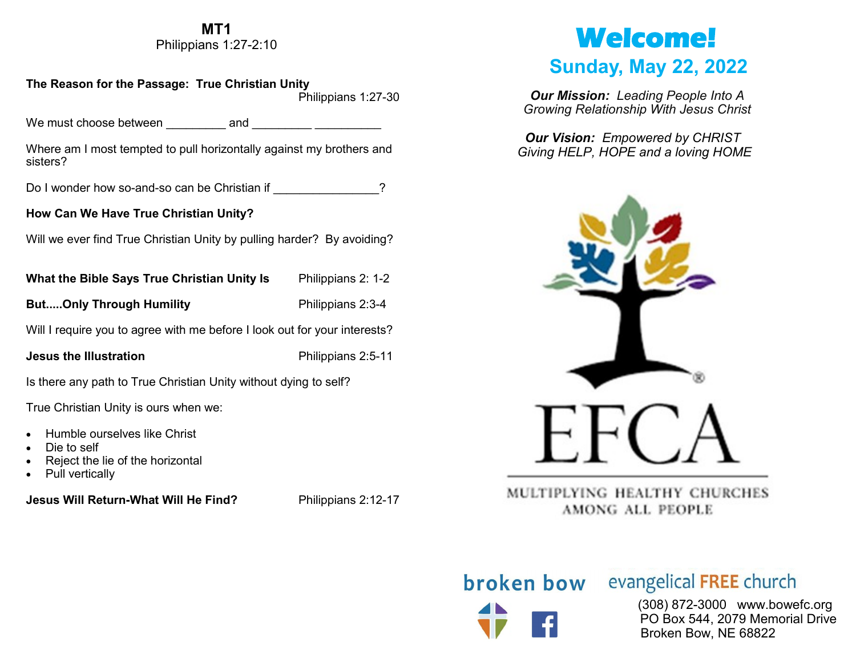#### **MT1**

Philippians 1:27-2:10

#### **The Reason for the Passage: True Christian Unity**

Philippians 1:27-30

We must choose between eand and  $\Box$ 

Where am I most tempted to pull horizontally against my brothers and sisters?

Do I wonder how so-and-so can be Christian if \_\_\_\_\_\_\_\_\_\_\_\_\_\_\_?

#### **How Can We Have True Christian Unity?**

Will we ever find True Christian Unity by pulling harder? By avoiding?

| What the Bible Says True Christian Unity Is | Philippians 2: 1-2 |
|---------------------------------------------|--------------------|
| <b>ButOnly Through Humility</b>             | Philippians 2:3-4  |

Will I require you to agree with me before I look out for your interests?

**Jesus the Illustration Philippians 2:5-11** 

Is there any path to True Christian Unity without dying to self?

True Christian Unity is ours when we:

- Humble ourselves like Christ
- Die to self
- Reject the lie of the horizontal
- Pull vertically

**Jesus Will Return-What Will He Find?** Philippians 2:12-17

# **Welcome!**

## **Sunday, May 22, 2022**

*Our Mission: Leading People Into A Growing Relationship With Jesus Christ*

*Our Vision: Empowered by CHRIST Giving HELP, HOPE and a loving HOME*



MULTIPLYING HEALTHY CHURCHES AMONG ALL PEOPLE

## **broken bow** evangelical FREE church

 (308) 872-3000 www.bowefc.org PO Box 544, 2079 Memorial Drive Broken Bow, NE 68822